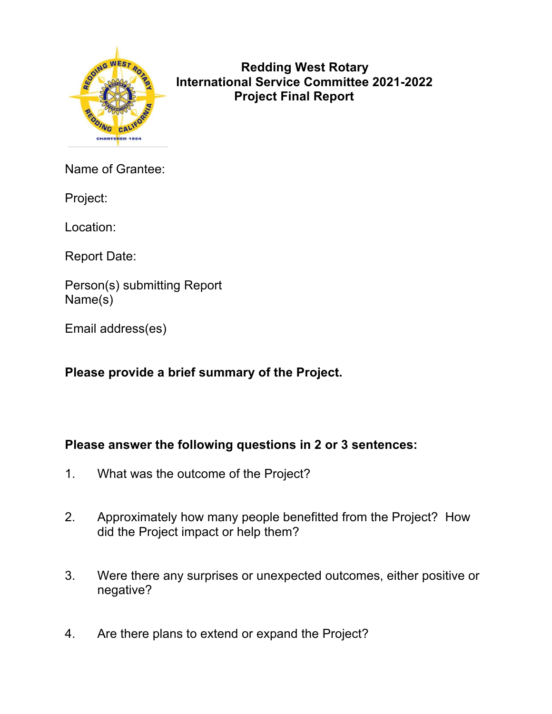

 **Redding West Rotary International Service Committee 2021-2022 Project Final Report** 

Name of Grantee:

Project:

Location:

Report Date:

Person(s) submitting Report Name(s)

Email address(es)

**Please provide a brief summary of the Project.**

## **Please answer the following questions in 2 or 3 sentences:**

- 1. What was the outcome of the Project?
- 2. Approximately how many people benefitted from the Project? How did the Project impact or help them?
- 3. Were there any surprises or unexpected outcomes, either positive or negative?
- 4. Are there plans to extend or expand the Project?